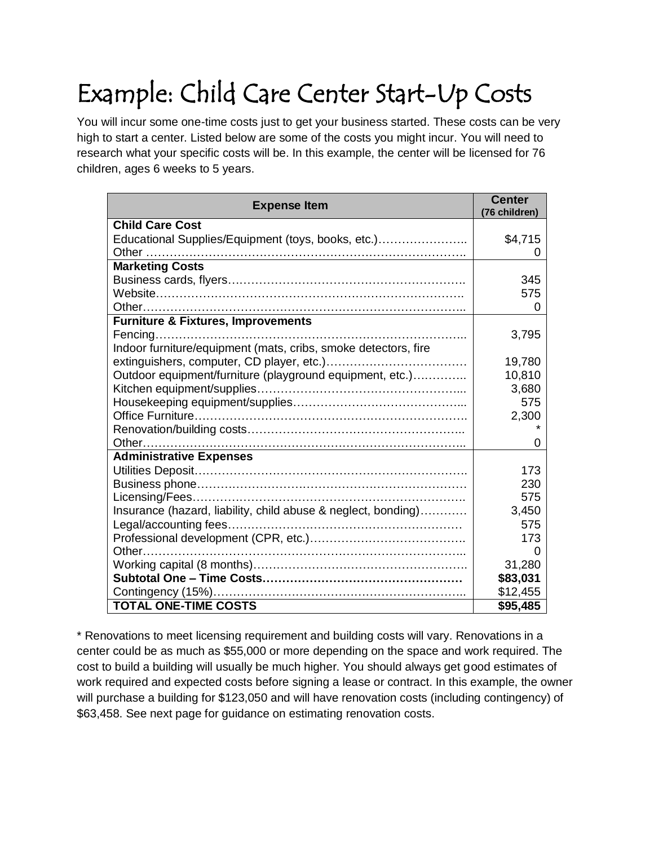## Example: Child Care Center Start-Up Costs

You will incur some one-time costs just to get your business started. These costs can be very high to start a center. Listed below are some of the costs you might incur. You will need to research what your specific costs will be. In this example, the center will be licensed for 76 children, ages 6 weeks to 5 years.

| <b>Expense Item</b>                                            | <b>Center</b><br>(76 children) |
|----------------------------------------------------------------|--------------------------------|
| <b>Child Care Cost</b>                                         |                                |
| Educational Supplies/Equipment (toys, books, etc.)             | \$4,715                        |
|                                                                | $\mathbf{0}$                   |
| <b>Marketing Costs</b>                                         |                                |
|                                                                | 345                            |
|                                                                | 575                            |
|                                                                | 0                              |
| <b>Furniture &amp; Fixtures, Improvements</b>                  |                                |
|                                                                | 3,795                          |
| Indoor furniture/equipment (mats, cribs, smoke detectors, fire |                                |
|                                                                | 19,780                         |
| Outdoor equipment/furniture (playground equipment, etc.)       | 10,810                         |
|                                                                | 3,680                          |
|                                                                | 575                            |
|                                                                | 2,300                          |
|                                                                |                                |
|                                                                | 0                              |
| <b>Administrative Expenses</b>                                 |                                |
|                                                                | 173                            |
|                                                                | 230                            |
|                                                                | 575                            |
| Insurance (hazard, liability, child abuse & neglect, bonding)  | 3,450                          |
|                                                                | 575                            |
|                                                                | 173                            |
|                                                                | 0                              |
|                                                                | 31,280                         |
|                                                                | \$83,031                       |
|                                                                | \$12,455                       |
| <b>TOTAL ONE-TIME COSTS</b>                                    | \$95,485                       |

\* Renovations to meet licensing requirement and building costs will vary. Renovations in a center could be as much as \$55,000 or more depending on the space and work required. The cost to build a building will usually be much higher. You should always get good estimates of work required and expected costs before signing a lease or contract. In this example, the owner will purchase a building for \$123,050 and will have renovation costs (including contingency) of \$63,458. See next page for guidance on estimating renovation costs.